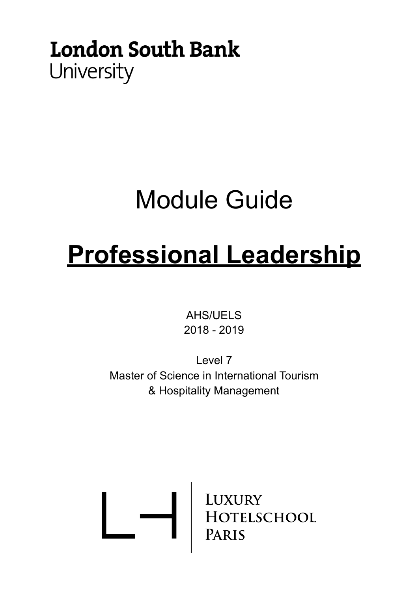# **London South Bank** University

# Module Guide

# **Professional Leadership**

AHS/UELS 2018 - 2019

Level 7 Master of Science in International Tourism & Hospitality Management

LUXURY<br>HOTELSCHOOL<br>PARIS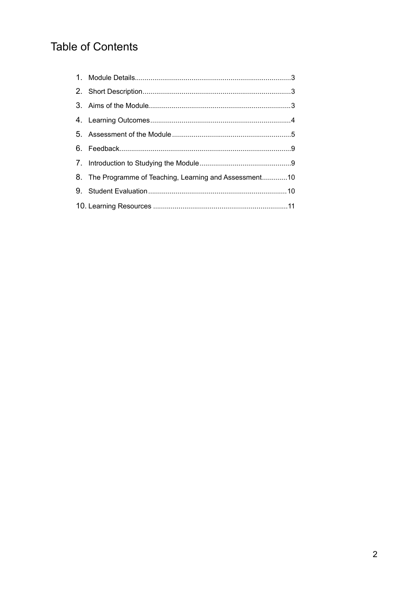# **Table of Contents**

| 8. The Programme of Teaching, Learning and Assessment10 |
|---------------------------------------------------------|
|                                                         |
|                                                         |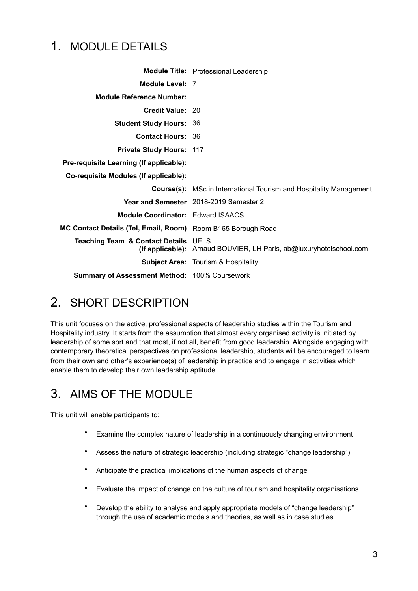# <span id="page-2-0"></span>1. MODULE DETAILS

|                                                              | Module Title: Professional Leadership                                     |
|--------------------------------------------------------------|---------------------------------------------------------------------------|
| Module Level: 7                                              |                                                                           |
| <b>Module Reference Number:</b>                              |                                                                           |
| Credit Value: 20                                             |                                                                           |
| <b>Student Study Hours: 36</b>                               |                                                                           |
| <b>Contact Hours: 36</b>                                     |                                                                           |
| <b>Private Study Hours: 117</b>                              |                                                                           |
| Pre-requisite Learning (If applicable):                      |                                                                           |
| Co-requisite Modules (If applicable):                        |                                                                           |
|                                                              | <b>Course(s):</b> MSc in International Tourism and Hospitality Management |
|                                                              | Year and Semester 2018-2019 Semester 2                                    |
| Module Coordinator: Edward ISAACS                            |                                                                           |
| MC Contact Details (Tel, Email, Room) Room B165 Borough Road |                                                                           |
| <b>Teaching Team &amp; Contact Details UELS</b>              | (If applicable): Arnaud BOUVIER, LH Paris, ab@luxuryhotelschool.com       |
|                                                              | <b>Subject Area: Tourism &amp; Hospitality</b>                            |
| <b>Summary of Assessment Method: 100% Coursework</b>         |                                                                           |

# <span id="page-2-1"></span>2. SHORT DESCRIPTION

This unit focuses on the active, professional aspects of leadership studies within the Tourism and Hospitality industry. It starts from the assumption that almost every organised activity is initiated by leadership of some sort and that most, if not all, benefit from good leadership. Alongside engaging with contemporary theoretical perspectives on professional leadership, students will be encouraged to learn from their own and other's experience(s) of leadership in practice and to engage in activities which enable them to develop their own leadership aptitude

# <span id="page-2-2"></span>3. AIMS OF THE MODULE

This unit will enable participants to:

- Examine the complex nature of leadership in a continuously changing environment
- Assess the nature of strategic leadership (including strategic "change leadership")
- Anticipate the practical implications of the human aspects of change
- Evaluate the impact of change on the culture of tourism and hospitality organisations
- Develop the ability to analyse and apply appropriate models of "change leadership" through the use of academic models and theories, as well as in case studies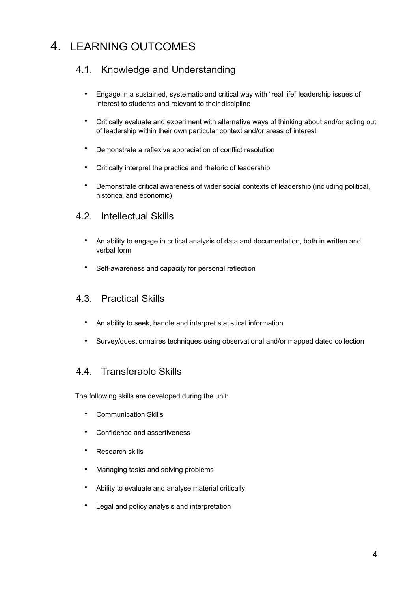# <span id="page-3-0"></span>4. LEARNING OUTCOMES

# 4.1. Knowledge and Understanding

- Engage in a sustained, systematic and critical way with "real life" leadership issues of interest to students and relevant to their discipline
- Critically evaluate and experiment with alternative ways of thinking about and/or acting out of leadership within their own particular context and/or areas of interest
- Demonstrate a reflexive appreciation of conflict resolution
- Critically interpret the practice and rhetoric of leadership
- Demonstrate critical awareness of wider social contexts of leadership (including political, historical and economic)

## 4.2. Intellectual Skills

- An ability to engage in critical analysis of data and documentation, both in written and verbal form
- Self-awareness and capacity for personal reflection

## 4.3. Practical Skills

- An ability to seek, handle and interpret statistical information
- Survey/questionnaires techniques using observational and/or mapped dated collection

## 4.4. Transferable Skills

The following skills are developed during the unit:

- Communication Skills
- Confidence and assertiveness
- Research skills
- Managing tasks and solving problems
- Ability to evaluate and analyse material critically
- Legal and policy analysis and interpretation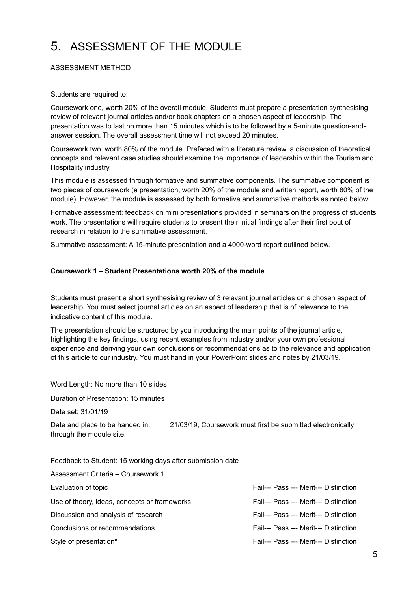# <span id="page-4-0"></span>5. ASSESSMENT OF THE MODULE

#### ASSESSMENT METHOD

#### Students are required to:

Coursework one, worth 20% of the overall module. Students must prepare a presentation synthesising review of relevant journal articles and/or book chapters on a chosen aspect of leadership. The presentation was to last no more than 15 minutes which is to be followed by a 5-minute question-andanswer session. The overall assessment time will not exceed 20 minutes.

Coursework two, worth 80% of the module. Prefaced with a literature review, a discussion of theoretical concepts and relevant case studies should examine the importance of leadership within the Tourism and Hospitality industry.

This module is assessed through formative and summative components. The summative component is two pieces of coursework (a presentation, worth 20% of the module and written report, worth 80% of the module). However, the module is assessed by both formative and summative methods as noted below:

Formative assessment: feedback on mini presentations provided in seminars on the progress of students work. The presentations will require students to present their initial findings after their first bout of research in relation to the summative assessment.

Summative assessment: A 15-minute presentation and a 4000-word report outlined below.

#### **Coursework 1 – Student Presentations worth 20% of the module**

Students must present a short synthesising review of 3 relevant journal articles on a chosen aspect of leadership. You must select journal articles on an aspect of leadership that is of relevance to the indicative content of this module.

The presentation should be structured by you introducing the main points of the journal article, highlighting the key findings, using recent examples from industry and/or your own professional experience and deriving your own conclusions or recommendations as to the relevance and application of this article to our industry. You must hand in your PowerPoint slides and notes by 21/03/19.

Word Length: No more than 10 slides Duration of Presentation: 15 minutes Date set: 31/01/19 Date and place to be handed in: 21/03/19, Coursework must first be submitted electronically through the module site. Feedback to Student: 15 working days after submission date Assessment Criteria – Coursework 1 Evaluation of topic **Fail--- Pass --- Merit--- Distinction** 

Use of theory, ideas, concepts or frameworks Fail--- Pass --- Merit--- Distinction Discussion and analysis of research Fail--- Pass --- Merit--- Distinction Conclusions or recommendations Fail--- Pass --- Merit--- Distinction Style of presentation\* The Style of presentation\* Fail--- Pass --- Merit--- Distinction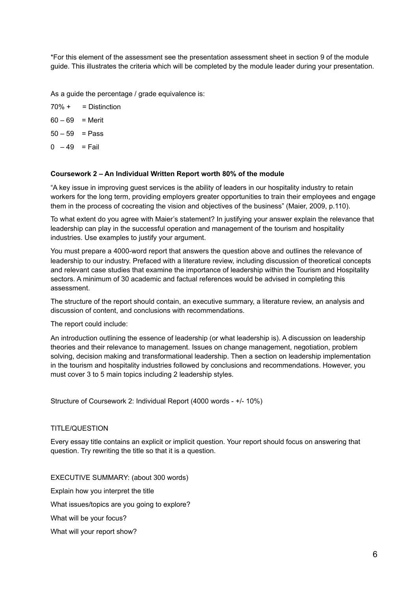\*For this element of the assessment see the presentation assessment sheet in section 9 of the module guide. This illustrates the criteria which will be completed by the module leader during your presentation.

As a guide the percentage / grade equivalence is:

- $70\% +$  = Distinction
- $60 69 =$  Merit
- $50 59$  = Pass
- $0 49 =$ Fail

#### **Coursework 2 – An Individual Written Report worth 80% of the module**

"A key issue in improving guest services is the ability of leaders in our hospitality industry to retain workers for the long term, providing employers greater opportunities to train their employees and engage them in the process of cocreating the vision and objectives of the business" (Maier, 2009, p.110).

To what extent do you agree with Maier's statement? In justifying your answer explain the relevance that leadership can play in the successful operation and management of the tourism and hospitality industries. Use examples to justify your argument.

You must prepare a 4000-word report that answers the question above and outlines the relevance of leadership to our industry. Prefaced with a literature review, including discussion of theoretical concepts and relevant case studies that examine the importance of leadership within the Tourism and Hospitality sectors. A minimum of 30 academic and factual references would be advised in completing this assessment.

The structure of the report should contain, an executive summary, a literature review, an analysis and discussion of content, and conclusions with recommendations.

The report could include:

An introduction outlining the essence of leadership (or what leadership is). A discussion on leadership theories and their relevance to management. Issues on change management, negotiation, problem solving, decision making and transformational leadership. Then a section on leadership implementation in the tourism and hospitality industries followed by conclusions and recommendations. However, you must cover 3 to 5 main topics including 2 leadership styles.

Structure of Coursework 2: Individual Report (4000 words - +/- 10%)

#### TITLE/QUESTION

Every essay title contains an explicit or implicit question. Your report should focus on answering that question. Try rewriting the title so that it is a question.

EXECUTIVE SUMMARY: (about 300 words) Explain how you interpret the title What issues/topics are you going to explore? What will be your focus? What will your report show?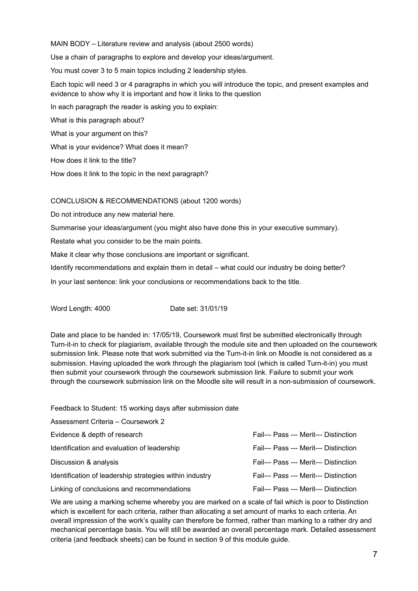MAIN BODY – Literature review and analysis (about 2500 words) Use a chain of paragraphs to explore and develop your ideas/argument. You must cover 3 to 5 main topics including 2 leadership styles. Each topic will need 3 or 4 paragraphs in which you will introduce the topic, and present examples and evidence to show why it is important and how it links to the question In each paragraph the reader is asking you to explain: What is this paragraph about? What is your argument on this? What is your evidence? What does it mean?

How does it link to the title?

How does it link to the topic in the next paragraph?

CONCLUSION & RECOMMENDATIONS (about 1200 words)

Do not introduce any new material here.

Summarise your ideas/argument (you might also have done this in your executive summary).

Restate what you consider to be the main points.

Make it clear why those conclusions are important or significant.

Identify recommendations and explain them in detail – what could our industry be doing better?

In your last sentence: link your conclusions or recommendations back to the title.

Word Length: 4000 Date set: 31/01/19

Date and place to be handed in: 17/05/19, Coursework must first be submitted electronically through Turn-it-in to check for plagiarism, available through the module site and then uploaded on the coursework submission link. Please note that work submitted via the Turn-it-in link on Moodle is not considered as a submission. Having uploaded the work through the plagiarism tool (which is called Turn-it-in) you must then submit your coursework through the coursework submission link. Failure to submit your work through the coursework submission link on the Moodle site will result in a non-submission of coursework.

Feedback to Student: 15 working days after submission date

| Assessment Criteria - Coursework 2                      |                                       |
|---------------------------------------------------------|---------------------------------------|
| Evidence & depth of research                            | Fail--- Pass --- Merit--- Distinction |
| Identification and evaluation of leadership             | Fail--- Pass --- Merit--- Distinction |
| Discussion & analysis                                   | Fail--- Pass --- Merit--- Distinction |
| Identification of leadership strategies within industry | Fail--- Pass --- Merit--- Distinction |
| Linking of conclusions and recommendations              | Fail--- Pass --- Merit--- Distinction |

We are using a marking scheme whereby you are marked on a scale of fail which is poor to Distinction which is excellent for each criteria, rather than allocating a set amount of marks to each criteria. An overall impression of the work's quality can therefore be formed, rather than marking to a rather dry and mechanical percentage basis. You will still be awarded an overall percentage mark. Detailed assessment criteria (and feedback sheets) can be found in section 9 of this module guide.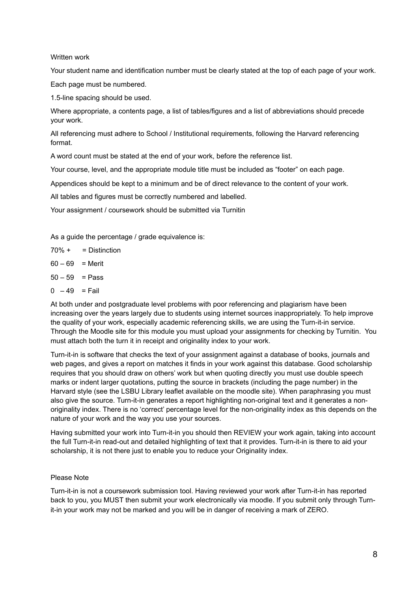#### Written work

Your student name and identification number must be clearly stated at the top of each page of your work.

Each page must be numbered.

1.5-line spacing should be used.

Where appropriate, a contents page, a list of tables/figures and a list of abbreviations should precede your work.

All referencing must adhere to School / Institutional requirements, following the Harvard referencing format.

A word count must be stated at the end of your work, before the reference list.

Your course, level, and the appropriate module title must be included as "footer" on each page.

Appendices should be kept to a minimum and be of direct relevance to the content of your work.

All tables and figures must be correctly numbered and labelled.

Your assignment / coursework should be submitted via Turnitin

As a guide the percentage / grade equivalence is:

- $70\% +$  = Distinction
- $60 69 =$  Merit
- $50 59$  = Pass
- $0 49 =$ Fail

At both under and postgraduate level problems with poor referencing and plagiarism have been increasing over the years largely due to students using internet sources inappropriately. To help improve the quality of your work, especially academic referencing skills, we are using the Turn-it-in service. Through the Moodle site for this module you must upload your assignments for checking by Turnitin. You must attach both the turn it in receipt and originality index to your work.

Turn-it-in is software that checks the text of your assignment against a database of books, journals and web pages, and gives a report on matches it finds in your work against this database. Good scholarship requires that you should draw on others' work but when quoting directly you must use double speech marks or indent larger quotations, putting the source in brackets (including the page number) in the Harvard style (see the LSBU Library leaflet available on the moodle site). When paraphrasing you must also give the source. Turn-it-in generates a report highlighting non-original text and it generates a nonoriginality index. There is no 'correct' percentage level for the non-originality index as this depends on the nature of your work and the way you use your sources.

Having submitted your work into Turn-it-in you should then REVIEW your work again, taking into account the full Turn-it-in read-out and detailed highlighting of text that it provides. Turn-it-in is there to aid your scholarship, it is not there just to enable you to reduce your Originality index.

## Please Note

Turn-it-in is not a coursework submission tool. Having reviewed your work after Turn-it-in has reported back to you, you MUST then submit your work electronically via moodle. If you submit only through Turnit-in your work may not be marked and you will be in danger of receiving a mark of ZERO.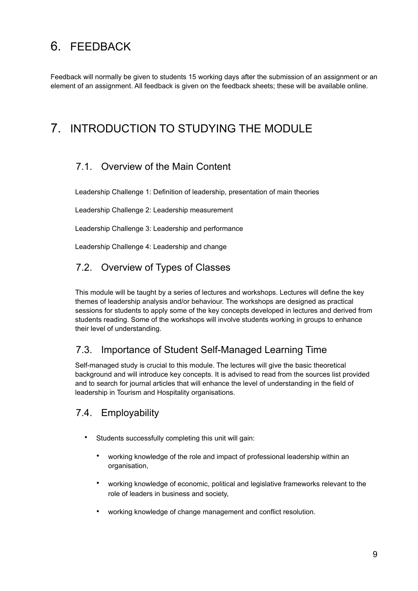# <span id="page-8-0"></span>6. FEEDBACK

Feedback will normally be given to students 15 working days after the submission of an assignment or an element of an assignment. All feedback is given on the feedback sheets; these will be available online.

# <span id="page-8-1"></span>7. INTRODUCTION TO STUDYING THE MODULE

# 7.1. Overview of the Main Content

Leadership Challenge 1: Definition of leadership, presentation of main theories

Leadership Challenge 2: Leadership measurement

Leadership Challenge 3: Leadership and performance

Leadership Challenge 4: Leadership and change

# 7.2. Overview of Types of Classes

This module will be taught by a series of lectures and workshops. Lectures will define the key themes of leadership analysis and/or behaviour. The workshops are designed as practical sessions for students to apply some of the key concepts developed in lectures and derived from students reading. Some of the workshops will involve students working in groups to enhance their level of understanding.

# 7.3. Importance of Student Self-Managed Learning Time

Self-managed study is crucial to this module. The lectures will give the basic theoretical background and will introduce key concepts. It is advised to read from the sources list provided and to search for journal articles that will enhance the level of understanding in the field of leadership in Tourism and Hospitality organisations.

## 7.4. Employability

- Students successfully completing this unit will gain:
	- working knowledge of the role and impact of professional leadership within an organisation,
	- working knowledge of economic, political and legislative frameworks relevant to the role of leaders in business and society,
	- working knowledge of change management and conflict resolution.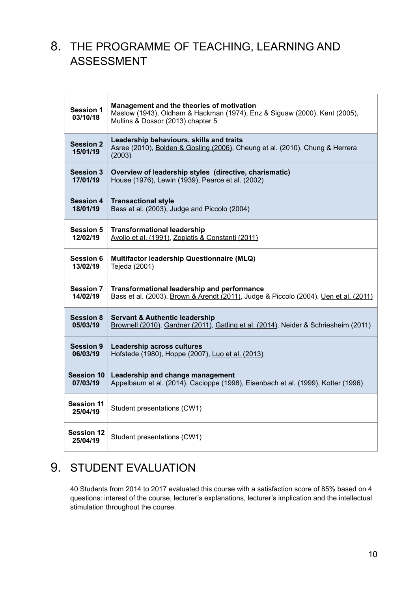# <span id="page-9-0"></span>8. THE PROGRAMME OF TEACHING, LEARNING AND ASSESSMENT

| <b>Session 1</b><br>03/10/18  | Management and the theories of motivation<br>Maslow (1943), Oldham & Hackman (1974), Enz & Siguaw (2000), Kent (2005),<br>Mullins & Dossor (2013) chapter 5 |
|-------------------------------|-------------------------------------------------------------------------------------------------------------------------------------------------------------|
| <b>Session 2</b><br>15/01/19  | Leadership behaviours, skills and traits<br>Asree (2010), Bolden & Gosling (2006), Cheung et al. (2010), Chung & Herrera<br>(2003)                          |
| <b>Session 3</b>              | Overview of leadership styles (directive, charismatic)                                                                                                      |
| 17/01/19                      | House (1976), Lewin (1939), Pearce et al. (2002)                                                                                                            |
| <b>Session 4</b>              | <b>Transactional style</b>                                                                                                                                  |
| 18/01/19                      | Bass et al. (2003), Judge and Piccolo (2004)                                                                                                                |
| <b>Session 5</b>              | <b>Transformational leadership</b>                                                                                                                          |
| 12/02/19                      | Avolio et al. (1991), Zopiatis & Constanti (2011)                                                                                                           |
| <b>Session 6</b>              | Multifactor leadership Questionnaire (MLQ)                                                                                                                  |
| 13/02/19                      | Tejeda (2001)                                                                                                                                               |
| <b>Session 7</b>              | Transformational leadership and performance                                                                                                                 |
| 14/02/19                      | Bass et al. (2003), Brown & Arendt (2011), Judge & Piccolo (2004), Uen et al. (2011)                                                                        |
| <b>Session 8</b>              | <b>Servant &amp; Authentic leadership</b>                                                                                                                   |
| 05/03/19                      | Brownell (2010), Gardner (2011), Gatling et al. (2014), Neider & Schriesheim (2011)                                                                         |
| <b>Session 9</b>              | <b>Leadership across cultures</b>                                                                                                                           |
| 06/03/19                      | Hofstede (1980), Hoppe (2007), Luo et al. (2013)                                                                                                            |
| <b>Session 10</b>             | Leadership and change management                                                                                                                            |
| 07/03/19                      | Appelbaum et al. (2014), Cacioppe (1998), Eisenbach et al. (1999), Kotter (1996)                                                                            |
| <b>Session 11</b><br>25/04/19 | Student presentations (CW1)                                                                                                                                 |
| <b>Session 12</b><br>25/04/19 | Student presentations (CW1)                                                                                                                                 |

# <span id="page-9-1"></span>9. STUDENT EVALUATION

40 Students from 2014 to 2017 evaluated this course with a satisfaction score of 85% based on 4 questions: interest of the course, lecturer's explanations, lecturer's implication and the intellectual stimulation throughout the course.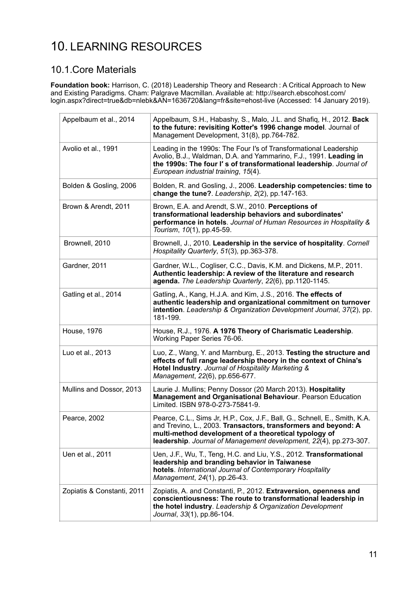# <span id="page-10-0"></span>10. LEARNING RESOURCES

# 10.1.Core Materials

**Foundation book:** Harrison, C. (2018) Leadership Theory and Research : A Critical Approach to New and Existing Paradigms. Cham: Palgrave Macmillan. Available at: http://search.ebscohost.com/ login.aspx?direct=true&db=nlebk&AN=1636720&lang=fr&site=ehost-live (Accessed: 14 January 2019).

| Appelbaum et al., 2014     | Appelbaum, S.H., Habashy, S., Malo, J.L. and Shafig, H., 2012. Back<br>to the future: revisiting Kotter's 1996 change model. Journal of<br>Management Development, 31(8), pp.764-782.                                                                                      |
|----------------------------|----------------------------------------------------------------------------------------------------------------------------------------------------------------------------------------------------------------------------------------------------------------------------|
| Avolio et al., 1991        | Leading in the 1990s: The Four I's of Transformational Leadership<br>Avolio, B.J., Waldman, D.A. and Yammarino, F.J., 1991. Leading in<br>the 1990s: The four I's of transformational leadership. Journal of<br>European industrial training, 15(4).                       |
| Bolden & Gosling, 2006     | Bolden, R. and Gosling, J., 2006. Leadership competencies: time to<br>change the tune?. Leadership, 2(2), pp.147-163.                                                                                                                                                      |
| Brown & Arendt, 2011       | Brown, E.A. and Arendt, S.W., 2010. Perceptions of<br>transformational leadership behaviors and subordinates'<br>performance in hotels. Journal of Human Resources in Hospitality &<br>Tourism, 10(1), pp.45-59.                                                           |
| Brownell, 2010             | Brownell, J., 2010. Leadership in the service of hospitality. Cornell<br>Hospitality Quarterly, 51(3), pp.363-378.                                                                                                                                                         |
| Gardner, 2011              | Gardner, W.L., Cogliser, C.C., Davis, K.M. and Dickens, M.P., 2011.<br>Authentic leadership: A review of the literature and research<br>agenda. The Leadership Quarterly, 22(6), pp.1120-1145.                                                                             |
| Gatling et al., 2014       | Gatling, A., Kang, H.J.A. and Kim, J.S., 2016. The effects of<br>authentic leadership and organizational commitment on turnover<br>intention. Leadership & Organization Development Journal, 37(2), pp.<br>181-199.                                                        |
| House, 1976                | House, R.J., 1976. A 1976 Theory of Charismatic Leadership.<br>Working Paper Series 76-06.                                                                                                                                                                                 |
| Luo et al., 2013           | Luo, Z., Wang, Y. and Marnburg, E., 2013. Testing the structure and<br>effects of full range leadership theory in the context of China's<br>Hotel Industry. Journal of Hospitality Marketing &<br>Management, 22(6), pp.656-677.                                           |
| Mullins and Dossor, 2013   | Laurie J. Mullins; Penny Dossor (20 March 2013). Hospitality<br><b>Management and Organisational Behaviour. Pearson Education</b><br>Limited. ISBN 978-0-273-75841-9.                                                                                                      |
| Pearce, 2002               | Pearce, C.L., Sims Jr, H.P., Cox, J.F., Ball, G., Schnell, E., Smith, K.A.<br>and Trevino, L., 2003. Transactors, transformers and beyond: A<br>multi-method development of a theoretical typology of<br>leadership. Journal of Management development, 22(4), pp.273-307. |
| Uen et al., 2011           | Uen, J.F., Wu, T., Teng, H.C. and Liu, Y.S., 2012. Transformational<br>leadership and branding behavior in Taiwanese<br>hotels. International Journal of Contemporary Hospitality<br>Management, 24(1), pp.26-43.                                                          |
| Zopiatis & Constanti, 2011 | Zopiatis, A. and Constanti, P., 2012. Extraversion, openness and<br>conscientiousness: The route to transformational leadership in<br>the hotel industry. Leadership & Organization Development<br>Journal, 33(1), pp.86-104.                                              |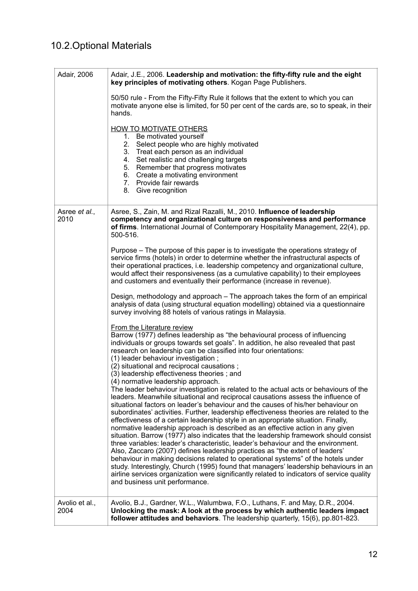# 10.2.Optional Materials

| Adair, 2006            | Adair, J.E., 2006. Leadership and motivation: the fifty-fifty rule and the eight<br>key principles of motivating others. Kogan Page Publishers.                                                                                                                                                                                                                                                                                                                                                                                                                                                                                                                                                                                                                                                                                                                                                                                                                                                                                                                                                                                                |  |  |  |
|------------------------|------------------------------------------------------------------------------------------------------------------------------------------------------------------------------------------------------------------------------------------------------------------------------------------------------------------------------------------------------------------------------------------------------------------------------------------------------------------------------------------------------------------------------------------------------------------------------------------------------------------------------------------------------------------------------------------------------------------------------------------------------------------------------------------------------------------------------------------------------------------------------------------------------------------------------------------------------------------------------------------------------------------------------------------------------------------------------------------------------------------------------------------------|--|--|--|
|                        | 50/50 rule - From the Fifty-Fifty Rule it follows that the extent to which you can<br>motivate anyone else is limited, for 50 per cent of the cards are, so to speak, in their<br>hands.                                                                                                                                                                                                                                                                                                                                                                                                                                                                                                                                                                                                                                                                                                                                                                                                                                                                                                                                                       |  |  |  |
|                        | <b>HOW TO MOTIVATE OTHERS</b><br>1. Be motivated yourself<br>2. Select people who are highly motivated<br>3. Treat each person as an individual<br>4. Set realistic and challenging targets<br>5. Remember that progress motivates<br>6. Create a motivating environment<br>7. Provide fair rewards<br>8. Give recognition                                                                                                                                                                                                                                                                                                                                                                                                                                                                                                                                                                                                                                                                                                                                                                                                                     |  |  |  |
| Asree et al.,<br>2010  | Asree, S., Zain, M. and Rizal Razalli, M., 2010. Influence of leadership<br>competency and organizational culture on responsiveness and performance<br>of firms. International Journal of Contemporary Hospitality Management, 22(4), pp.<br>500-516.                                                                                                                                                                                                                                                                                                                                                                                                                                                                                                                                                                                                                                                                                                                                                                                                                                                                                          |  |  |  |
|                        | Purpose - The purpose of this paper is to investigate the operations strategy of<br>service firms (hotels) in order to determine whether the infrastructural aspects of<br>their operational practices, i.e. leadership competency and organizational culture,<br>would affect their responsiveness (as a cumulative capability) to their employees<br>and customers and eventually their performance (increase in revenue).                                                                                                                                                                                                                                                                                                                                                                                                                                                                                                                                                                                                                                                                                                                   |  |  |  |
|                        | Design, methodology and approach – The approach takes the form of an empirical<br>analysis of data (using structural equation modelling) obtained via a questionnaire<br>survey involving 88 hotels of various ratings in Malaysia.                                                                                                                                                                                                                                                                                                                                                                                                                                                                                                                                                                                                                                                                                                                                                                                                                                                                                                            |  |  |  |
|                        | <b>From the Literature review</b><br>Barrow (1977) defines leadership as "the behavioural process of influencing<br>individuals or groups towards set goals". In addition, he also revealed that past<br>research on leadership can be classified into four orientations:<br>(1) leader behaviour investigation;<br>(2) situational and reciprocal causations;<br>(3) leadership effectiveness theories; and                                                                                                                                                                                                                                                                                                                                                                                                                                                                                                                                                                                                                                                                                                                                   |  |  |  |
|                        | (4) normative leadership approach.<br>The leader behaviour investigation is related to the actual acts or behaviours of the<br>leaders. Meanwhile situational and reciprocal causations assess the influence of<br>situational factors on leader's behaviour and the causes of his/her behaviour on<br>subordinates' activities. Further, leadership effectiveness theories are related to the<br>effectiveness of a certain leadership style in an appropriate situation. Finally,<br>normative leadership approach is described as an effective action in any given<br>situation. Barrow (1977) also indicates that the leadership framework should consist<br>three variables: leader's characteristic, leader's behaviour and the environment.<br>Also, Zaccaro (2007) defines leadership practices as "the extent of leaders'<br>behaviour in making decisions related to operational systems" of the hotels under<br>study. Interestingly, Church (1995) found that managers' leadership behaviours in an<br>airline services organization were significantly related to indicators of service quality<br>and business unit performance. |  |  |  |
| Avolio et al.,<br>2004 | Avolio, B.J., Gardner, W.L., Walumbwa, F.O., Luthans, F. and May, D.R., 2004.<br>Unlocking the mask: A look at the process by which authentic leaders impact<br>follower attitudes and behaviors. The leadership quarterly, 15(6), pp.801-823.                                                                                                                                                                                                                                                                                                                                                                                                                                                                                                                                                                                                                                                                                                                                                                                                                                                                                                 |  |  |  |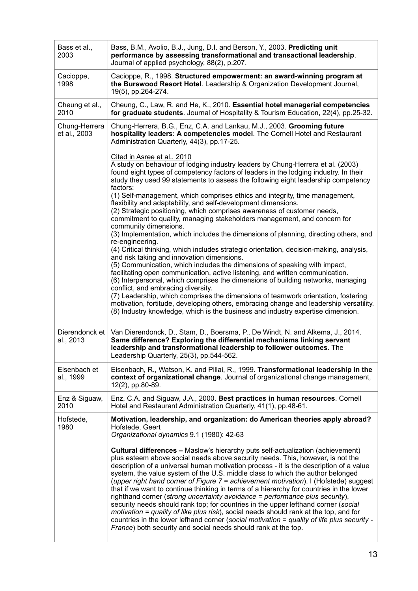| Bass et al.,<br>2003          | Bass, B.M., Avolio, B.J., Jung, D.I. and Berson, Y., 2003. Predicting unit<br>performance by assessing transformational and transactional leadership.<br>Journal of applied psychology, 88(2), p.207.                                                                                                                                                                                                                                                                                                                                                                                                                                                                                                                                                                                                                                                                                                                                                                                                                                                                                                                          |
|-------------------------------|--------------------------------------------------------------------------------------------------------------------------------------------------------------------------------------------------------------------------------------------------------------------------------------------------------------------------------------------------------------------------------------------------------------------------------------------------------------------------------------------------------------------------------------------------------------------------------------------------------------------------------------------------------------------------------------------------------------------------------------------------------------------------------------------------------------------------------------------------------------------------------------------------------------------------------------------------------------------------------------------------------------------------------------------------------------------------------------------------------------------------------|
| Cacioppe,<br>1998             | Cacioppe, R., 1998. Structured empowerment: an award-winning program at<br>the Burswood Resort Hotel. Leadership & Organization Development Journal,<br>19(5), pp.264-274.                                                                                                                                                                                                                                                                                                                                                                                                                                                                                                                                                                                                                                                                                                                                                                                                                                                                                                                                                     |
| Cheung et al.,<br>2010        | Cheung, C., Law, R. and He, K., 2010. Essential hotel managerial competencies<br>for graduate students. Journal of Hospitality & Tourism Education, 22(4), pp.25-32.                                                                                                                                                                                                                                                                                                                                                                                                                                                                                                                                                                                                                                                                                                                                                                                                                                                                                                                                                           |
| Chung-Herrera<br>et al., 2003 | Chung-Herrera, B.G., Enz, C.A. and Lankau, M.J., 2003. Grooming future<br>hospitality leaders: A competencies model. The Cornell Hotel and Restaurant<br>Administration Quarterly, 44(3), pp.17-25.                                                                                                                                                                                                                                                                                                                                                                                                                                                                                                                                                                                                                                                                                                                                                                                                                                                                                                                            |
|                               | Cited in Asree et al., 2010<br>A study on behaviour of lodging industry leaders by Chung-Herrera et al. (2003)<br>found eight types of competency factors of leaders in the lodging industry. In their<br>study they used 99 statements to assess the following eight leadership competency<br>factors:<br>(1) Self-management, which comprises ethics and integrity, time management,<br>flexibility and adaptability, and self-development dimensions.<br>(2) Strategic positioning, which comprises awareness of customer needs,<br>commitment to quality, managing stakeholders management, and concern for                                                                                                                                                                                                                                                                                                                                                                                                                                                                                                                |
|                               | community dimensions.<br>(3) Implementation, which includes the dimensions of planning, directing others, and<br>re-engineering.<br>(4) Critical thinking, which includes strategic orientation, decision-making, analysis,<br>and risk taking and innovation dimensions.<br>(5) Communication, which includes the dimensions of speaking with impact,<br>facilitating open communication, active listening, and written communication.<br>(6) Interpersonal, which comprises the dimensions of building networks, managing<br>conflict, and embracing diversity.<br>(7) Leadership, which comprises the dimensions of teamwork orientation, fostering<br>motivation, fortitude, developing others, embracing change and leadership versatility.                                                                                                                                                                                                                                                                                                                                                                               |
| Dierendonck et<br>al., 2013   | (8) Industry knowledge, which is the business and industry expertise dimension.<br>Van Dierendonck, D., Stam, D., Boersma, P., De Windt, N. and Alkema, J., 2014.<br>Same difference? Exploring the differential mechanisms linking servant<br>leadership and transformational leadership to follower outcomes. The<br>Leadership Quarterly, 25(3), pp.544-562.                                                                                                                                                                                                                                                                                                                                                                                                                                                                                                                                                                                                                                                                                                                                                                |
| Eisenbach et<br>al., 1999     | Eisenbach, R., Watson, K. and Pillai, R., 1999. Transformational leadership in the<br>context of organizational change. Journal of organizational change management,<br>12(2), pp.80-89.                                                                                                                                                                                                                                                                                                                                                                                                                                                                                                                                                                                                                                                                                                                                                                                                                                                                                                                                       |
| Enz & Siguaw,<br>2010         | Enz, C.A. and Siguaw, J.A., 2000. Best practices in human resources. Cornell<br>Hotel and Restaurant Administration Quarterly, 41(1), pp.48-61.                                                                                                                                                                                                                                                                                                                                                                                                                                                                                                                                                                                                                                                                                                                                                                                                                                                                                                                                                                                |
| Hofstede,<br>1980             | Motivation, leadership, and organization: do American theories apply abroad?<br>Hofstede, Geert<br>Organizational dynamics 9.1 (1980): 42-63<br><b>Cultural differences –</b> Maslow's hierarchy puts self-actualization (achievement)<br>plus esteem above social needs above security needs. This, however, is not the<br>description of a universal human motivation process - it is the description of a value<br>system, the value system of the U.S. middle class to which the author belonged<br>(upper right hand corner of Figure 7 = achievement motivation). I (Hofstede) suggest<br>that if we want to continue thinking in terms of a hierarchy for countries in the lower<br>righthand corner (strong uncertainty avoidance = performance plus security),<br>security needs should rank top; for countries in the upper lefthand corner (social<br><i>motivation = quality of like plus risk</i> ), social needs should rank at the top, and for<br>countries in the lower lefhand corner (social motivation = quality of life plus security -<br>France) both security and social needs should rank at the top. |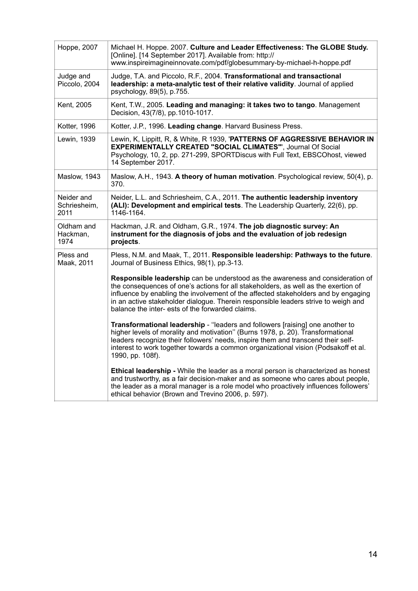| Hoppe, 2007                        | Michael H. Hoppe. 2007. Culture and Leader Effectiveness: The GLOBE Study.<br>[Online]. [14 September 2017]. Available from: http://<br>www.inspireimagineinnovate.com/pdf/globesummary-by-michael-h-hoppe.pdf                                                                                                                                                                                       |
|------------------------------------|------------------------------------------------------------------------------------------------------------------------------------------------------------------------------------------------------------------------------------------------------------------------------------------------------------------------------------------------------------------------------------------------------|
| Judge and<br>Piccolo, 2004         | Judge, T.A. and Piccolo, R.F., 2004. Transformational and transactional<br>leadership: a meta-analytic test of their relative validity. Journal of applied<br>psychology, 89(5), p.755.                                                                                                                                                                                                              |
| Kent, 2005                         | Kent, T.W., 2005. Leading and managing: it takes two to tango. Management<br>Decision, 43(7/8), pp.1010-1017.                                                                                                                                                                                                                                                                                        |
| Kotter, 1996                       | Kotter, J.P., 1996. Leading change. Harvard Business Press.                                                                                                                                                                                                                                                                                                                                          |
| Lewin, 1939                        | Lewin, K, Lippitt, R, & White, R 1939, 'PATTERNS OF AGGRESSIVE BEHAVIOR IN<br><b>EXPERIMENTALLY CREATED "SOCIAL CLIMATES"', Journal Of Social</b><br>Psychology, 10, 2, pp. 271-299, SPORTDiscus with Full Text, EBSCOhost, viewed<br>14 September 2017.                                                                                                                                             |
| Maslow, 1943                       | Maslow, A.H., 1943. A theory of human motivation. Psychological review, 50(4), p.<br>370.                                                                                                                                                                                                                                                                                                            |
| Neider and<br>Schriesheim,<br>2011 | Neider, L.L. and Schriesheim, C.A., 2011. The authentic leadership inventory<br>(ALI): Development and empirical tests. The Leadership Quarterly, 22(6), pp.<br>1146-1164.                                                                                                                                                                                                                           |
| Oldham and<br>Hackman,<br>1974     | Hackman, J.R. and Oldham, G.R., 1974. The job diagnostic survey: An<br>instrument for the diagnosis of jobs and the evaluation of job redesign<br>projects.                                                                                                                                                                                                                                          |
| Pless and<br>Maak, 2011            | Pless, N.M. and Maak, T., 2011. Responsible leadership: Pathways to the future.<br>Journal of Business Ethics, 98(1), pp.3-13.                                                                                                                                                                                                                                                                       |
|                                    | Responsible leadership can be understood as the awareness and consideration of<br>the consequences of one's actions for all stakeholders, as well as the exertion of<br>influence by enabling the involvement of the affected stakeholders and by engaging<br>in an active stakeholder dialogue. Therein responsible leaders strive to weigh and<br>balance the inter- ests of the forwarded claims. |
|                                    | Transformational leadership - "leaders and followers [raising] one another to<br>higher levels of morality and motivation" (Burns 1978, p. 20). Transformational<br>leaders recognize their followers' needs, inspire them and transcend their self-<br>interest to work together towards a common organizational vision (Podsakoff et al.<br>1990, pp. 108f).                                       |
|                                    | Ethical leadership - While the leader as a moral person is characterized as honest<br>and trustworthy, as a fair decision-maker and as someone who cares about people,<br>the leader as a moral manager is a role model who proactively influences followers'<br>ethical behavior (Brown and Trevino 2006, p. 597).                                                                                  |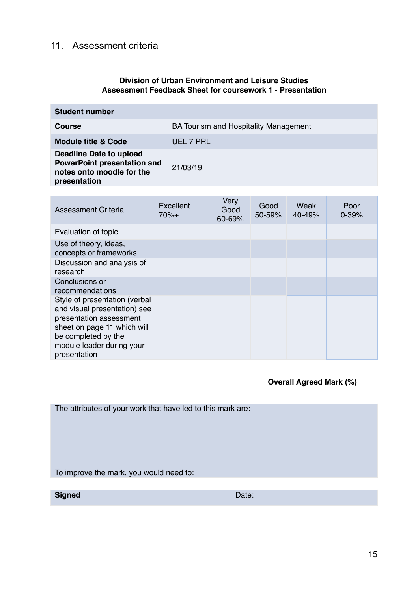# 11. Assessment criteria

## **Division of Urban Environment and Leisure Studies Assessment Feedback Sheet for coursework 1 - Presentation**

| <b>Student number</b>                                                                                             |                                              |
|-------------------------------------------------------------------------------------------------------------------|----------------------------------------------|
| <b>Course</b>                                                                                                     | <b>BA Tourism and Hospitality Management</b> |
| <b>Module title &amp; Code</b>                                                                                    | UEL 7 PRL                                    |
| <b>Deadline Date to upload</b><br><b>PowerPoint presentation and</b><br>notes onto moodle for the<br>presentation | 21/03/19                                     |

| <b>Assessment Criteria</b>                                                                                                                                                                  | Excellent<br>$70%+$ | Very<br>Good<br>60-69% | Good<br>50-59% | Weak<br>40-49% | Poor<br>$0 - 39%$ |
|---------------------------------------------------------------------------------------------------------------------------------------------------------------------------------------------|---------------------|------------------------|----------------|----------------|-------------------|
| Evaluation of topic                                                                                                                                                                         |                     |                        |                |                |                   |
| Use of theory, ideas,<br>concepts or frameworks                                                                                                                                             |                     |                        |                |                |                   |
| Discussion and analysis of<br>research                                                                                                                                                      |                     |                        |                |                |                   |
| Conclusions or<br>recommendations                                                                                                                                                           |                     |                        |                |                |                   |
| Style of presentation (verbal<br>and visual presentation) see<br>presentation assessment<br>sheet on page 11 which will<br>be completed by the<br>module leader during your<br>presentation |                     |                        |                |                |                   |

 **Overall Agreed Mark (%)**

| The attributes of your work that have led to this mark are: |       |  |
|-------------------------------------------------------------|-------|--|
|                                                             |       |  |
| To improve the mark, you would need to:                     |       |  |
|                                                             |       |  |
| <b>Signed</b>                                               | Date: |  |
|                                                             |       |  |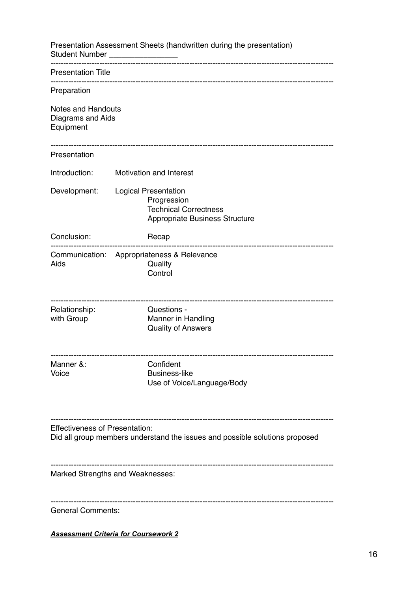| Presentation Assessment Sheets (handwritten during the presentation)<br>Student Number <b>Student</b> Number |                                                                                                       |  |  |  |
|--------------------------------------------------------------------------------------------------------------|-------------------------------------------------------------------------------------------------------|--|--|--|
| <b>Presentation Title</b>                                                                                    |                                                                                                       |  |  |  |
| Preparation                                                                                                  |                                                                                                       |  |  |  |
| <b>Notes and Handouts</b><br>Diagrams and Aids<br>Equipment                                                  |                                                                                                       |  |  |  |
| Presentation                                                                                                 |                                                                                                       |  |  |  |
| Introduction:                                                                                                | <b>Motivation and Interest</b>                                                                        |  |  |  |
| Development:                                                                                                 | Logical Presentation<br>Progression<br><b>Technical Correctness</b><br>Appropriate Business Structure |  |  |  |
| Conclusion:                                                                                                  | Recap                                                                                                 |  |  |  |
| Aids                                                                                                         | Communication: Appropriateness & Relevance<br>Quality<br>Control                                      |  |  |  |
| Relationship:<br>with Group                                                                                  | Questions -<br>Manner in Handling<br><b>Quality of Answers</b>                                        |  |  |  |
| Manner &:<br>Voice                                                                                           | Confident<br><b>Business-like</b><br>Use of Voice/Language/Body                                       |  |  |  |
| <b>Effectiveness of Presentation:</b>                                                                        | Did all group members understand the issues and possible solutions proposed                           |  |  |  |
|                                                                                                              | Marked Strengths and Weaknesses:                                                                      |  |  |  |
| <b>General Comments:</b>                                                                                     |                                                                                                       |  |  |  |
|                                                                                                              | <b>Assessment Criteria for Coursework 2</b>                                                           |  |  |  |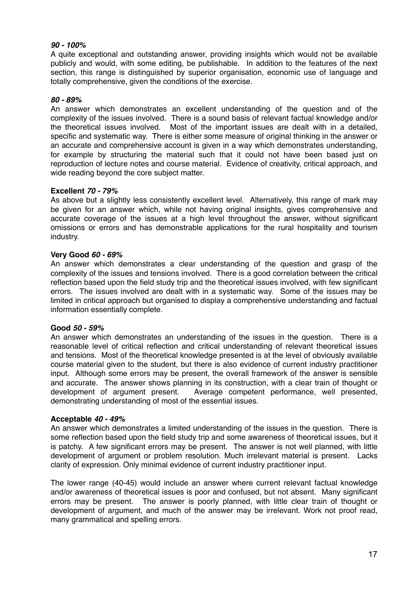## *90 - 100%*

A quite exceptional and outstanding answer, providing insights which would not be available publicly and would, with some editing, be publishable. In addition to the features of the next section, this range is distinguished by superior organisation, economic use of language and totally comprehensive, given the conditions of the exercise.

## *80 - 89%*

An answer which demonstrates an excellent understanding of the question and of the complexity of the issues involved. There is a sound basis of relevant factual knowledge and/or the theoretical issues involved. Most of the important issues are dealt with in a detailed, specific and systematic way. There is either some measure of original thinking in the answer or an accurate and comprehensive account is given in a way which demonstrates understanding, for example by structuring the material such that it could not have been based just on reproduction of lecture notes and course material. Evidence of creativity, critical approach, and wide reading beyond the core subject matter.

## **Excellent** *70 - 79%*

As above but a slightly less consistently excellent level. Alternatively, this range of mark may be given for an answer which, while not having original insights, gives comprehensive and accurate coverage of the issues at a high level throughout the answer, without significant omissions or errors and has demonstrable applications for the rural hospitality and tourism industry.

## **Very Good** *60 - 69%*

An answer which demonstrates a clear understanding of the question and grasp of the complexity of the issues and tensions involved. There is a good correlation between the critical reflection based upon the field study trip and the theoretical issues involved, with few significant errors. The issues involved are dealt with in a systematic way. Some of the issues may be limited in critical approach but organised to display a comprehensive understanding and factual information essentially complete.

## **Good** *50 - 59%*

An answer which demonstrates an understanding of the issues in the question. There is a reasonable level of critical reflection and critical understanding of relevant theoretical issues and tensions. Most of the theoretical knowledge presented is at the level of obviously available course material given to the student, but there is also evidence of current industry practitioner input. Although some errors may be present, the overall framework of the answer is sensible and accurate. The answer shows planning in its construction, with a clear train of thought or development of argument present. Average competent performance, well presented, demonstrating understanding of most of the essential issues.

## **Acceptable** *40 - 49%*

An answer which demonstrates a limited understanding of the issues in the question. There is some reflection based upon the field study trip and some awareness of theoretical issues, but it is patchy. A few significant errors may be present. The answer is not well planned, with little development of argument or problem resolution. Much irrelevant material is present. Lacks clarity of expression. Only minimal evidence of current industry practitioner input.

The lower range (40-45) would include an answer where current relevant factual knowledge and/or awareness of theoretical issues is poor and confused, but not absent. Many significant errors may be present. The answer is poorly planned, with little clear train of thought or development of argument, and much of the answer may be irrelevant. Work not proof read, many grammatical and spelling errors.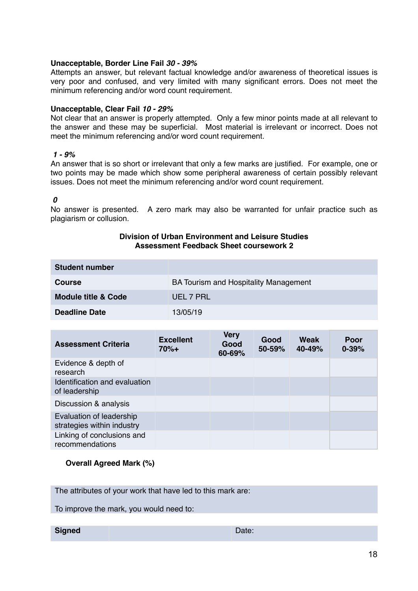### **Unacceptable, Border Line Fail** *30 - 39%*

Attempts an answer, but relevant factual knowledge and/or awareness of theoretical issues is very poor and confused, and very limited with many significant errors. Does not meet the minimum referencing and/or word count requirement.

### **Unacceptable, Clear Fail** *10 - 29%*

Not clear that an answer is properly attempted. Only a few minor points made at all relevant to the answer and these may be superficial. Most material is irrelevant or incorrect. Does not meet the minimum referencing and/or word count requirement.

#### *1 - 9%*

An answer that is so short or irrelevant that only a few marks are justified. For example, one or two points may be made which show some peripheral awareness of certain possibly relevant issues. Does not meet the minimum referencing and/or word count requirement.

#### *0*

No answer is presented. A zero mark may also be warranted for unfair practice such as plagiarism or collusion.

#### **Division of Urban Environment and Leisure Studies Assessment Feedback Sheet coursework 2**

| <b>Student number</b>          |                                       |
|--------------------------------|---------------------------------------|
| <b>Course</b>                  | BA Tourism and Hospitality Management |
| <b>Module title &amp; Code</b> | UEL 7 PRL                             |
| <b>Deadline Date</b>           | 13/05/19                              |

| <b>Assessment Criteria</b>                             | <b>Excellent</b><br>$70%+$ | <b>Very</b><br>Good<br>60-69% | Good<br>50-59% | Weak<br>40-49% | Poor<br>$0 - 39%$ |
|--------------------------------------------------------|----------------------------|-------------------------------|----------------|----------------|-------------------|
| Evidence & depth of<br>research                        |                            |                               |                |                |                   |
| Identification and evaluation<br>of leadership         |                            |                               |                |                |                   |
| Discussion & analysis                                  |                            |                               |                |                |                   |
| Evaluation of leadership<br>strategies within industry |                            |                               |                |                |                   |
| Linking of conclusions and<br>recommendations          |                            |                               |                |                |                   |

## **Overall Agreed Mark (%)**

The attributes of your work that have led to this mark are:

To improve the mark, you would need to:

**Signed** Date: